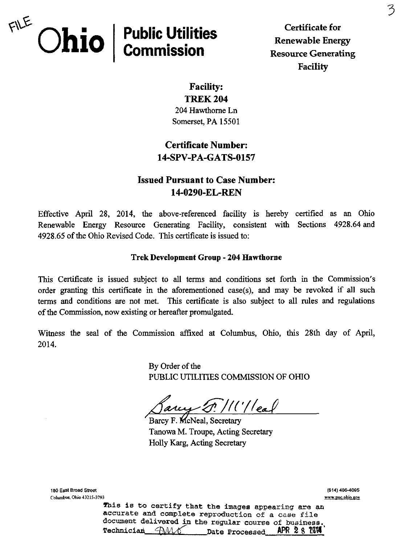

Certificate for Renewable Energy **Resource Generating** Facility

Facility: TREK 204 204 Hawthorne Ln

Somerset, PA 15501

# Certificate Number: 14-SFV-PA-GATS-0157

## Issued Pursuant to Case Number: 14-0290-EL-REN

Effective April 28, 2014, the above-referenced facility is hereby certified as an Ohio Renewable Energy Resource Generating Facility, consistent with Sections 4928.64 and 4928.65 of the Ohio Revised Code. This certificate is issued to:

### Trek Development Group - 204 Hawthorne

This Certificate is issued subject to all terms and conditions set forth in the Commission's order granting this certificate in the aforementioned case(s), and may be revoked if all such terms and conditions are not met. This certificate is also subject to all rules and regulations of the Commission, now existing or hereafter promulgated.

Witness the seal of the Commission affixed at Columbus, Ohio, this 28th day of April, 2014.

> By Order of the PUBLIC UTILITIES COMMISSION OF OHIO

 $^{\prime}/$  (  $^{\prime}/$   $\vert$   $\vert$   $\vert$   $\vert$ 

Barcy F. McNeal, Secretary Tanowa M. Troupe, Acting Secretary Holly Karg, Acting Secretary

180 East Broad street Columbus, Ohio 43215-3793

(614)466-4095 [www.puc.ohio.gov](http://www.puc.ohio.gov) 

This is to certify that the images appearing are an accurate and complete reproduction of a case file docmnent delivered in the regular course of business. Technician  $\bigcap \mathcal{M}$   $\mathcal{N}$  Date Processed APR 2 8 7014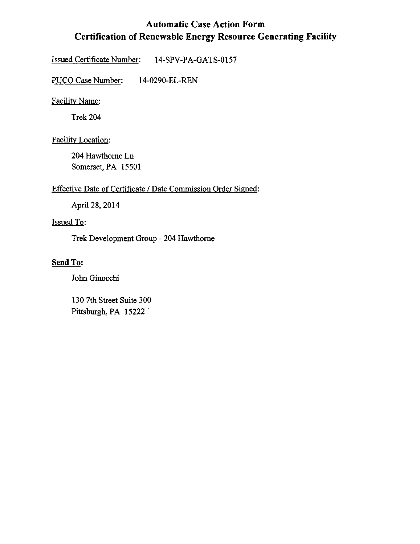# Automatic Case Action Form Certification of Renewable Energy Resource Generating Facility

Issued Certificate Number: 14-SPV-PA-GATS-0157

PUCO Case Number: 14-0290-EL-REN

Facilitv Name:

Trek 204

Facility Location:

204 Hawthorne Ln Somerset, PA 15501

### Effective Date of Certificate / Date Commission Order Signed:

April 28, 2014

### Issued To:

Trek Development Group - 204 Hawthorne

### Send To;

John Ginocchi

130 7th Street Suite 300 Pittsburgh, PA 15222